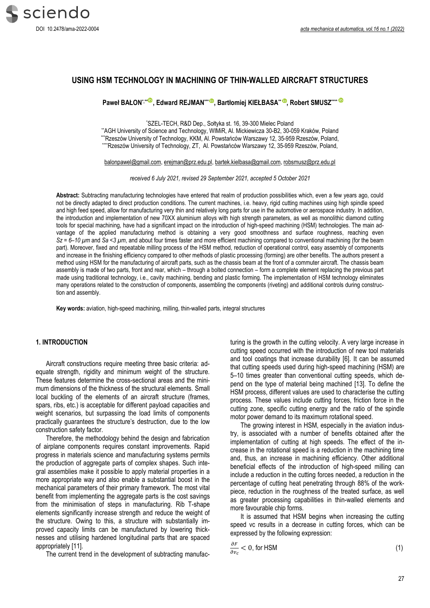

# **USING HSM TECHNOLOGY IN MACHINING OF THIN-WALLED AIRCRAFT STRUCTURES**

**Paweł BAŁON\*,\*\*, Edward REJMAN\*\*\*, Bartłomiej KIEŁBASA\*\* [,](https://orcid.org/0000-0002-3116-2251) Robert SMUSZ\*\*\*\***

\*SZEL-TECH, R&D Dep., Sołtyka st. 16, 39-300 Mielec Poland

\*\*AGH University of Science and Technology, WIMiR, Al. Mickiewicza 30-B2, 30-059 Kraków, Poland \*\*\*Rzeszów University of Technology, KKM, Al. Powstańców Warszawy 12, 35-959 Rzeszów, Poland, \*\*\*Rzeszów University of Technology, ZT, Al. Powstańców Warszawy 12, 35-959 Rzeszów, Poland,

balonpawel@gmail.com[, erejman@prz.edu.pl,](mailto:erejman@prz.edu.pl) [bartek.kielbasa@gmail.com,](mailto:bartek.kielbasa@gmail.com) [robsmusz@prz.edu.pl](mailto:robsmusz@prz.edu.pl)

*received 6 July 2021, revised 29 September 2021, accepted 5 October 2021*

**Abstract:** Subtracting manufacturing technologies have entered that realm of production possibilities which, even a few years ago, could not be directly adapted to direct production conditions. The current machines, i.e. heavy, rigid cutting machines using high spindle speed and high feed speed, allow for manufacturing very thin and relatively long parts for use in the automotive or aerospace industry. In addition, the introduction and implementation of new 70XX aluminium alloys with high strength parameters, as well as monolithic diamond cutting tools for special machining, have had a significant impact on the introduction of high-speed machining (HSM) technologies. The main advantage of the applied manufacturing method is obtaining a very good smoothness and surface roughness, reaching even  $Sz = 6 - 10 \ \mu m$  and  $Sa < 3 \ \mu m$ , and about four times faster and more efficient machining compared to conventional machining (for the beam part). Moreover, fixed and repeatable milling process of the HSM method, reduction of operational control, easy assembly of components and increase in the finishing efficiency compared to other methods of plastic processing (forming) are other benefits. The authors present a method using HSM for the manufacturing of aircraft parts, such as the chassis beam at the front of a commuter aircraft. The chassis beam assembly is made of two parts, front and rear, which – through a bolted connection – form a complete element replacing the previous part made using traditional technology, i.e., cavity machining, bending and plastic forming. The implementation of HSM technology eliminates many operations related to the construction of components, assembling the components (riveting) and additional controls during construction and assembly.

**Key words:** aviation, high-speed machining, milling, thin-walled parts, integral structures

#### **1. INTRODUCTION**

Aircraft constructions require meeting three basic criteria: adequate strength, rigidity and minimum weight of the structure. These features determine the cross-sectional areas and the minimum dimensions of the thickness of the structural elements. Small local buckling of the elements of an aircraft structure (frames, spars, ribs, etc.) is acceptable for different payload capacities and weight scenarios, but surpassing the load limits of components practically guarantees the structure's destruction, due to the low construction safety factor.

Therefore, the methodology behind the design and fabrication of airplane components requires constant improvements. Rapid progress in materials science and manufacturing systems permits the production of aggregate parts of complex shapes. Such integral assemblies make it possible to apply material properties in a more appropriate way and also enable a substantial boost in the mechanical parameters of their primary framework. The most vital benefit from implementing the aggregate parts is the cost savings from the minimisation of steps in manufacturing. Rib T-shape elements significantly increase strength and reduce the weight of the structure. Owing to this, a structure with substantially improved capacity limits can be manufactured by lowering thicknesses and utilising hardened longitudinal parts that are spaced appropriately [11].

The current trend in the development of subtracting manufac-

turing is the growth in the cutting velocity. A very large increase in cutting speed occurred with the introduction of new tool materials and tool coatings that increase durability [6]. It can be assumed that cutting speeds used during high-speed machining (HSM) are 5–10 times greater than conventional cutting speeds, which depend on the type of material being machined [13]. To define the HSM process, different values are used to characterise the cutting process. These values include cutting forces, friction force in the cutting zone, specific cutting energy and the ratio of the spindle motor power demand to its maximum rotational speed.

The growing interest in HSM, especially in the aviation industry, is associated with a number of benefits obtained after the implementation of cutting at high speeds. The effect of the increase in the rotational speed is a reduction in the machining time and, thus, an increase in machining efficiency. Other additional beneficial effects of the introduction of high-speed milling can include a reduction in the cutting forces needed, a reduction in the percentage of cutting heat penetrating through 88% of the workpiece, reduction in the roughness of the treated surface, as well as greater processing capabilities in thin-walled elements and more favourable chip forms.

It is assumed that HSM begins when increasing the cutting speed vc results in a decrease in cutting forces, which can be expressed by the following expression:

$$
\frac{\partial F}{\partial v_c} < 0, \text{ for HSM} \tag{1}
$$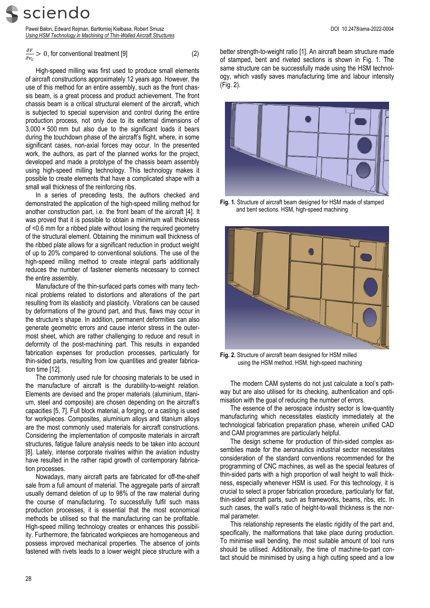sciendo

Paweł Bałon, Edward Rejman, Bartłomiej Kiełbasa, Robert Smusz DOI 10.2478/ama-2022-0004 *Using HSM Technology in Machining of Thin-Walled Aircraft Structures*

$$
\frac{\partial F}{\partial v_c} > 0
$$
, for conventional treatment [9] (2)

High-speed milling was first used to produce small elements of aircraft constructions approximately 12 years ago. However, the use of this method for an entire assembly, such as the front chassis beam, is a great process and product achievement. The front chassis beam is a critical structural element of the aircraft, which is subjected to special supervision and control during the entire production process, not only due to its external dimensions of  $3,000 \times 500$  mm but also due to the significant loads it bears during the touchdown phase of the aircraft's flight, where, in some significant cases, non-axial forces may occur. In the presented work, the authors, as part of the planned works for the project, developed and made a prototype of the chassis beam assembly using high-speed milling technology. This technology makes it possible to create elements that have a complicated shape with a small wall thickness of the reinforcing ribs.

In a series of preceding tests, the authors checked and demonstrated the application of the high-speed milling method for another construction part, i.e. the front beam of the aircraft [4]. It was proved that it is possible to obtain a minimum wall thickness of <0.6 mm for a ribbed plate without losing the required geometry of the structural element. Obtaining the minimum wall thickness of the ribbed plate allows for a significant reduction in product weight of up to 20% compared to conventional solutions. The use of the high-speed milling method to create integral parts additionally reduces the number of fastener elements necessary to connect the entire assembly.

Manufacture of the thin-surfaced parts comes with many technical problems related to distortions and alterations of the part resulting from its elasticity and plasticity. Vibrations can be caused by deformations of the ground part, and thus, flaws may occur in the structure's shape. In addition, permanent deformities can also generate geometric errors and cause interior stress in the outermost sheet, which are rather challenging to reduce and result in deformity of the post-machining part. This results in expanded fabrication expenses for production processes, particularly for thin-sided parts, resulting from low quantities and greater fabrication time [12].

The commonly used rule for choosing materials to be used in the manufacture of aircraft is the durability-to-weight relation. Elements are devised and the proper materials (aluminium, titanium, steel and composite) are chosen depending on the aircraft's capacities [5, 7]. Full block material, a forging, or a casting is used for workpieces. Composites, aluminium alloys and titanium alloys are the most commonly used materials for aircraft constructions. Considering the implementation of composite materials in aircraft structures, fatigue failure analysis needs to be taken into account [8]. Lately, intense corporate rivalries within the aviation industry have resulted in the rather rapid growth of contemporary fabrication processes.

Nowadays, many aircraft parts are fabricated for off-the-shelf sale from a full amount of material. The aggregate parts of aircraft usually demand deletion of up to 98% of the raw material during the course of manufacturing. To successfully fulfil such mass production processes, it is essential that the most economical methods be utilised so that the manufacturing can be profitable. High-speed milling technology creates or enhances this possibility. Furthermore, the fabricated workpieces are homogeneous and possess improved mechanical properties. The absence of joints fastened with rivets leads to a lower weight piece structure with a

better strength-to-weight ratio [1]. An aircraft beam structure made of stamped, bent and riveted sections is shown in Fig. 1. The same structure can be successfully made using the HSM technology, which vastly saves manufacturing time and labour intensity (Fig. 2).



**Fig. 1.** Structure of aircraft beam designed for HSM made of stamped and bent sections. HSM, high-speed machining



**Fig. 2.** Structure of aircraft beam designed for HSM milled using the HSM method. HSM, high-speed machining

The modern CAM systems do not just calculate a tool's pathway but are also utilised for its checking, authentication and optimisation with the goal of reducing the number of errors.

The essence of the aerospace industry sector is low-quantity manufacturing which necessitates elasticity immediately at the technological fabrication preparation phase, wherein unified CAD and CAM programmes are particularly helpful.

The design scheme for production of thin-sided complex assemblies made for the aeronautics industrial sector necessitates consideration of the standard conventions recommended for the programming of CNC machines, as well as the special features of thin-sided parts with a high proportion of wall height to wall thickness, especially whenever HSM is used. For this technology, it is crucial to select a proper fabrication procedure, particularly for flat, thin-sided aircraft parts, such as frameworks, beams, ribs, etc. In such cases, the wall's ratio of height-to-wall thickness is the normal parameter.

This relationship represents the elastic rigidity of the part and, specifically, the malformations that take place during production. To minimise wall bending, the most suitable amount of tool runs should be utilised. Additionally, the time of machine-to-part contact should be minimised by using a high cutting speed and a low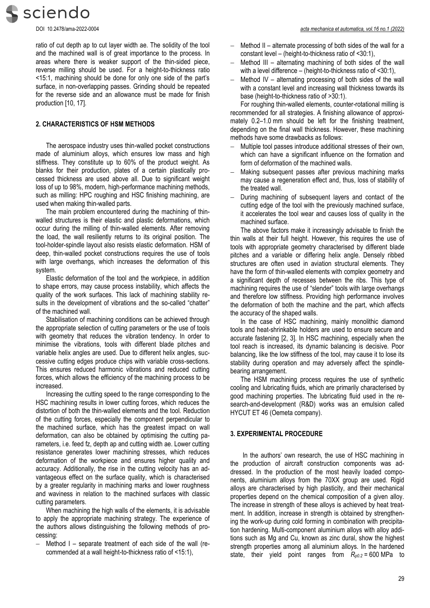sciendo

ratio of cut depth ap to cut layer width ae. The solidity of the tool and the machined wall is of great importance to the process. In areas where there is weaker support of the thin-sided piece, reverse milling should be used. For a height-to-thickness ratio <15:1, machining should be done for only one side of the part's surface, in non-overlapping passes. Grinding should be repeated for the reverse side and an allowance must be made for finish production [10, 17].

## **2. CHARACTERISTICS OF HSM METHODS**

The aerospace industry uses thin-walled pocket constructions made of aluminium alloys, which ensures low mass and high stiffness. They constitute up to 60% of the product weight. As blanks for their production, plates of a certain plastically processed thickness are used above all. Due to significant weight loss of up to 98%, modern, high-performance machining methods, such as milling: HPC roughing and HSC finishing machining, are used when making thin-walled parts.

The main problem encountered during the machining of thinwalled structures is their elastic and plastic deformations, which occur during the milling of thin-walled elements. After removing the load, the wall resiliently returns to its original position. The tool-holder-spindle layout also resists elastic deformation. HSM of deep, thin-walled pocket constructions requires the use of tools with large overhangs, which increases the deformation of this system.

Elastic deformation of the tool and the workpiece, in addition to shape errors, may cause process instability, which affects the quality of the work surfaces. This lack of machining stability results in the development of vibrations and the so-called "chatter" of the machined wall.

Stabilisation of machining conditions can be achieved through the appropriate selection of cutting parameters or the use of tools with geometry that reduces the vibration tendency. In order to minimise the vibrations, tools with different blade pitches and variable helix angles are used. Due to different helix angles, successive cutting edges produce chips with variable cross-sections. This ensures reduced harmonic vibrations and reduced cutting forces, which allows the efficiency of the machining process to be increased.

Increasing the cutting speed to the range corresponding to the HSC machining results in lower cutting forces, which reduces the distortion of both the thin-walled elements and the tool. Reduction of the cutting forces, especially the component perpendicular to the machined surface, which has the greatest impact on wall deformation, can also be obtained by optimising the cutting parameters, i.e. feed fz, depth ap and cutting width ae. Lower cutting resistance generates lower machining stresses, which reduces deformation of the workpiece and ensures higher quality and accuracy. Additionally, the rise in the cutting velocity has an advantageous effect on the surface quality, which is characterised by a greater regularity in machining marks and lower roughness and waviness in relation to the machined surfaces with classic cutting parameters.

When machining the high walls of the elements, it is advisable to apply the appropriate machining strategy. The experience of the authors allows distinguishing the following methods of processing:

 Method I – separate treatment of each side of the wall (recommended at a wall height-to-thickness ratio of <15:1),

- Method II alternate processing of both sides of the wall for a constant level – (height-to-thickness ratio of <30:1),
- Method III alternating machining of both sides of the wall with a level difference – (height-to-thickness ratio of <30:1).
- Method IV alternating processing of both sides of the wall with a constant level and increasing wall thickness towards its base (height-to-thickness ratio of >30:1).

For roughing thin-walled elements, counter-rotational milling is recommended for all strategies. A finishing allowance of approximately 0.2–1.0 mm should be left for the finishing treatment, depending on the final wall thickness. However, these machining methods have some drawbacks as follows:

- Multiple tool passes introduce additional stresses of their own, which can have a significant influence on the formation and form of deformation of the machined walls.
- Making subsequent passes after previous machining marks may cause a regeneration effect and, thus, loss of stability of the treated wall.
- During machining of subsequent layers and contact of the cutting edge of the tool with the previously machined surface, it accelerates the tool wear and causes loss of quality in the machined surface.

The above factors make it increasingly advisable to finish the thin walls at their full height. However, this requires the use of tools with appropriate geometry characterised by different blade pitches and a variable or differing helix angle. Densely ribbed structures are often used in aviation structural elements. They have the form of thin-walled elements with complex geometry and a significant depth of recesses between the ribs. This type of machining requires the use of "slender" tools with large overhangs and therefore low stiffness. Providing high performance involves the deformation of both the machine and the part, which affects the accuracy of the shaped walls.

In the case of HSC machining, mainly monolithic diamond tools and heat-shrinkable holders are used to ensure secure and accurate fastening [2, 3]. In HSC machining, especially when the tool reach is increased, its dynamic balancing is decisive. Poor balancing, like the low stiffness of the tool, may cause it to lose its stability during operation and may adversely affect the spindlebearing arrangement.

The HSM machining process requires the use of synthetic cooling and lubricating fluids, which are primarily characterised by good machining properties. The lubricating fluid used in the research-and-development (R&D) works was an emulsion called HYCUT ET 46 (Oemeta company).

#### **3. EXPERIMENTAL PROCEDURE**

In the authors' own research, the use of HSC machining in the production of aircraft construction components was addressed. In the production of the most heavily loaded components, aluminium alloys from the 70XX group are used. Rigid alloys are characterised by high plasticity, and their mechanical properties depend on the chemical composition of a given alloy. The increase in strength of these alloys is achieved by heat treatment. In addition, increase in strength is obtained by strengthening the work-up during cold forming in combination with precipitation hardening. Multi-component aluminium alloys with alloy additions such as Mg and Cu, known as zinc dural, show the highest strength properties among all aluminium alloys. In the hardened state, their yield point ranges from *Rp0.2* = 600 MPa to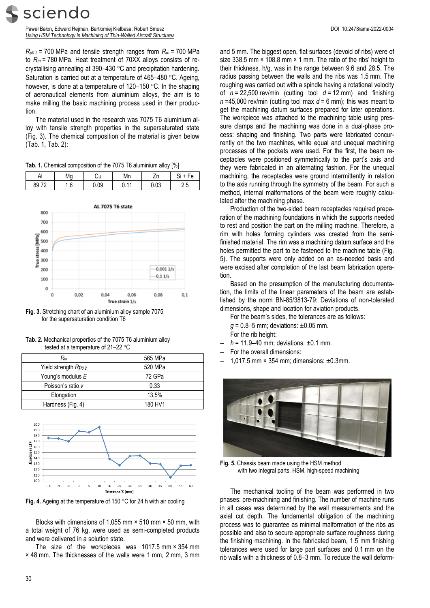Paweł Bałon, Edward Rejman, Bartłomiej Kiełbasa, Robert Smusz DOI 10.2478/ama-2022-0004 *Using HSM Technology in Machining of Thin-Walled Aircraft Structures*

 $R_{p0.2}$  = 700 MPa and tensile strength ranges from  $R_m$  = 700 MPa to *R<sup>m</sup>* = 780 MPa. Heat treatment of 70XX alloys consists of recrystallising annealing at  $390-430$  °C and precipitation hardening. Saturation is carried out at a temperature of 465–480 °C. Ageing, however, is done at a temperature of  $120-150$  °C. In the shaping of aeronautical elements from aluminium alloys, the aim is to make milling the basic machining process used in their production.

The material used in the research was 7075 T6 aluminium alloy with tensile strength properties in the supersaturated state (Fig. 3). The chemical composition of the material is given below (Tab. 1, Tab. 2):

|  | Tab. 1. Chemical composition of the 7075 T6 aluminium alloy [%] |  |  |  |  |
|--|-----------------------------------------------------------------|--|--|--|--|
|--|-----------------------------------------------------------------|--|--|--|--|

| Δ<br>ΓN               | Mg                | υu   | Mn                             | ∠n             | Fе<br>ات |
|-----------------------|-------------------|------|--------------------------------|----------------|----------|
| 89 72<br><b>UU.IL</b> | $\sqrt{2}$<br>1.O | 0.09 | $\overline{ }$<br><b>v.</b> 11 | $\sim$<br>u.us | ر.ء      |



**Fig. 3.** Stretching chart of an aluminium alloy sample 7075 for the supersaturation condition T6

**Tab. 2.** Mechanical properties of the 7075 T6 aluminium alloy tested at a temperature of  $21-22$  °C

| $R_m$                | 565 MPa |
|----------------------|---------|
| Yield strength Rpo.2 | 520 MPa |
| Young's modulus E    | 72 GPa  |
| Poisson's ratio v    | 0.33    |
| Elongation           | 13.5%   |
| Hardness (Fig. 4)    | 180 HV1 |



Fig. 4. Ageing at the temperature of 150 °C for 24 h with air cooling

Blocks with dimensions of 1,055 mm × 510 mm × 50 mm, with a total weight of 76 kg, were used as semi-completed products and were delivered in a solution state.

The size of the workpieces was 1017.5 mm × 354 mm × 48 mm. The thicknesses of the walls were 1 mm, 2 mm, 3 mm and 5 mm. The biggest open, flat surfaces (devoid of ribs) were of size 338.5 mm × 108.8 mm × 1 mm. The ratio of the ribs' height to their thickness, h/g, was in the range between 9.6 and 28.5. The radius passing between the walls and the ribs was 1.5 mm. The roughing was carried out with a spindle having a rotational velocity of *n* = 22,500 rev/min (cutting tool *d* = 12 mm) and finishing *n* =45,000 rev/min (cutting tool max *d* = 6 mm); this was meant to get the machining datum surfaces prepared for later operations. The workpiece was attached to the machining table using pressure clamps and the machining was done in a dual-phase process: shaping and finishing. Two parts were fabricated concurrently on the two machines, while equal and unequal machining processes of the pockets were used. For the first, the beam receptacles were positioned symmetrically to the part's axis and they were fabricated in an alternating fashion. For the unequal machining, the receptacles were ground intermittently in relation to the axis running through the symmetry of the beam. For such a method, internal malformations of the beam were roughly calculated after the machining phase.

Production of the two-sided beam receptacles required preparation of the machining foundations in which the supports needed to rest and position the part on the milling machine. Therefore, a rim with holes forming cylinders was created from the semifinished material. The rim was a machining datum surface and the holes permitted the part to be fastened to the machine table (Fig. 5). The supports were only added on an as-needed basis and were excised after completion of the last beam fabrication operation.

Based on the presumption of the manufacturing documentation, the limits of the linear parameters of the beam are established by the norm BN-85/3813-79: Deviations of non-tolerated dimensions, shape and location for aviation products.

- For the beam's sides, the tolerances are as follows:
- $q = 0.8 5$  mm; deviations:  $\pm 0.05$  mm.
- For the rib height:
- *h* = 11.9–40 mm; deviations: ±0.1 mm.
- For the overall dimensions:
- 1,017.5 mm × 354 mm; dimensions: ±0.3mm.



**Fig. 5.** Chassis beam made using the HSM method with two integral parts. HSM, high-speed machining

The mechanical tooling of the beam was performed in two phases: pre-machining and finishing. The number of machine runs in all cases was determined by the wall measurements and the axial cut depth. The fundamental obligation of the machining process was to guarantee as minimal malformation of the ribs as possible and also to secure appropriate surface roughness during the finishing machining. In the fabricated beam, 1.5 mm finishing tolerances were used for large part surfaces and 0.1 mm on the rib walls with a thickness of 0.8–3 mm. To reduce the wall deform-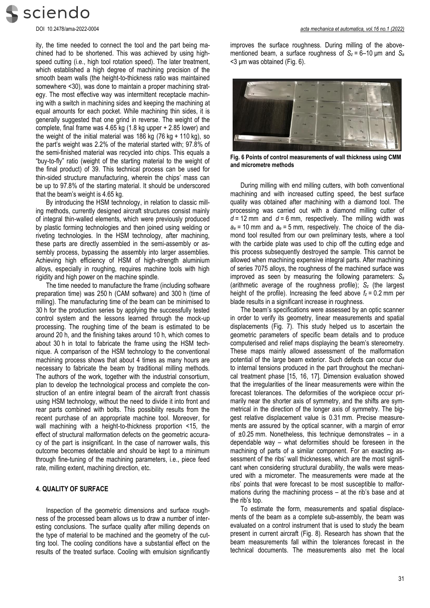

ity, the time needed to connect the tool and the part being machined had to be shortened. This was achieved by using highspeed cutting (i.e., high tool rotation speed). The later treatment, which established a high degree of machining precision of the smooth beam walls (the height-to-thickness ratio was maintained somewhere <30), was done to maintain a proper machining strategy. The most effective way was intermittent receptacle machining with a switch in machining sides and keeping the machining at equal amounts for each pocket. While machining thin sides, it is generally suggested that one grind in reverse. The weight of the complete, final frame was 4.65 kg (1.8 kg upper + 2.85 lower) and the weight of the initial material was 186 kg  $(76 \text{ kg} + 110 \text{ kg})$ , so the part's weight was 2.2% of the material started with; 97.8% of the semi-finished material was recycled into chips. This equals a "buy-to-fly" ratio (weight of the starting material to the weight of the final product) of 39. This technical process can be used for thin-sided structure manufacturing, wherein the chips' mass can be up to 97.8% of the starting material. It should be underscored that the beam's weight is 4.65 kg.

By introducing the HSM technology, in relation to classic milling methods, currently designed aircraft structures consist mainly of integral thin-walled elements, which were previously produced by plastic forming technologies and then joined using welding or riveting technologies. In the HSM technology, after machining, these parts are directly assembled in the semi-assembly or assembly process, bypassing the assembly into larger assemblies. Achieving high efficiency of HSM of high-strength aluminium alloys, especially in roughing, requires machine tools with high rigidity and high power on the machine spindle.

The time needed to manufacture the frame (including software preparation time) was 250 h (CAM software) and 300 h (time of milling). The manufacturing time of the beam can be minimised to 30 h for the production series by applying the successfully tested control system and the lessons learned through the mock-up processing. The roughing time of the beam is estimated to be around 20 h, and the finishing takes around 10 h, which comes to about 30 h in total to fabricate the frame using the HSM technique. A comparison of the HSM technology to the conventional machining process shows that about 4 times as many hours are necessary to fabricate the beam by traditional milling methods. The authors of the work, together with the industrial consortium, plan to develop the technological process and complete the construction of an entire integral beam of the aircraft front chassis using HSM technology, without the need to divide it into front and rear parts combined with bolts. This possibility results from the recent purchase of an appropriate machine tool. Moreover, for wall machining with a height-to-thickness proportion <15, the effect of structural malformation defects on the geometric accuracy of the part is insignificant. In the case of narrower walls, this outcome becomes detectable and should be kept to a minimum through fine-tuning of the machining parameters, i.e., piece feed rate, milling extent, machining direction, etc.

## **4. QUALITY OF SURFACE**

Inspection of the geometric dimensions and surface roughness of the processed beam allows us to draw a number of interesting conclusions. The surface quality after milling depends on the type of material to be machined and the geometry of the cutting tool. The cooling conditions have a substantial effect on the results of the treated surface. Cooling with emulsion significantly improves the surface roughness. During milling of the abovementioned beam, a surface roughness of  $S_z = 6-10 \mu m$  and  $S_a$ <3 μm was obtained (Fig. 6).



**Fig. 6 Points of control measurements of wall thickness using CMM and micrometre methods**

During milling with end milling cutters, with both conventional machining and with increased cutting speed, the best surface quality was obtained after machining with a diamond tool. The processing was carried out with a diamond milling cutter of  $d = 12$  mm and  $d = 6$  mm, respectively. The milling width was  $a_e$  = 10 mm and  $a_e$  = 5 mm, respectively. The choice of the diamond tool resulted from our own preliminary tests, where a tool with the carbide plate was used to chip off the cutting edge and this process subsequently destroyed the sample. This cannot be allowed when machining expensive integral parts. After machining of series 7075 alloys, the roughness of the machined surface was improved as seen by measuring the following parameters: *S<sup>a</sup>* (arithmetic average of the roughness profile); *S<sup>z</sup>* (the largest height of the profile). Increasing the feed above  $f_z = 0.2$  mm per blade results in a significant increase in roughness.

The beam's specifications were assessed by an optic scanner in order to verify its geometry, linear measurements and spatial displacements (Fig. 7). This study helped us to ascertain the geometric parameters of specific beam details and to produce computerised and relief maps displaying the beam's stereometry. These maps mainly allowed assessment of the malformation potential of the large beam exterior. Such defects can occur due to internal tensions produced in the part throughout the mechanical treatment phase [15, 16, 17]. Dimension evaluation showed that the irregularities of the linear measurements were within the forecast tolerances. The deformities of the workpiece occur primarily near the shorter axis of symmetry, and the shifts are symmetrical in the direction of the longer axis of symmetry. The biggest relative displacement value is 0.31 mm. Precise measurements are assured by the optical scanner, with a margin of error of  $\pm 0.25$  mm. Nonetheless, this technique demonstrates – in a dependable way – what deformities should be foreseen in the machining of parts of a similar component. For an exacting assessment of the ribs' wall thicknesses, which are the most significant when considering structural durability, the walls were measured with a micrometer. The measurements were made at the ribs' points that were forecast to be most susceptible to malformations during the machining process – at the rib's base and at the rib's top.

To estimate the form, measurements and spatial displacements of the beam as a complete sub-assembly, the beam was evaluated on a control instrument that is used to study the beam present in current aircraft (Fig. 8). Research has shown that the beam measurements fall within the tolerances forecast in the technical documents. The measurements also met the local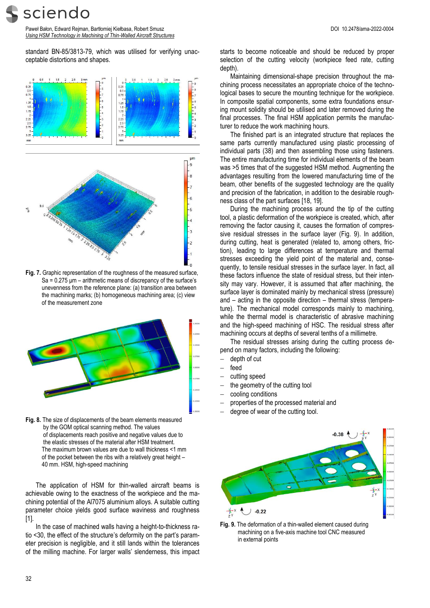sciendo

Paweł Bałon, Edward Rejman, Bartłomiej Kiełbasa, Robert Smusz DOI 10.2478/ama-2022-0004 *Using HSM Technology in Machining of Thin-Walled Aircraft Structures*

standard BN-85/3813-79, which was utilised for verifying unacceptable distortions and shapes.



**Fig. 7.** Graphic representation of the roughness of the measured surface, Sa = 0.275 μm – arithmetic means of discrepancy of the surface's unevenness from the reference plane: (a) transition area between the machining marks; (b) homogeneous machining area; (c) view of the measurement zone



**Fig. 8.** The size of displacements of the beam elements measured by the GOM optical scanning method. The values of displacements reach positive and negative values due to the elastic stresses of the material after HSM treatment. The maximum brown values are due to wall thickness <1 mm of the pocket between the ribs with a relatively great height – 40 mm. HSM, high-speed machining

The application of HSM for thin-walled aircraft beams is achievable owing to the exactness of the workpiece and the machining potential of the Al7075 aluminium alloys. A suitable cutting parameter choice yields good surface waviness and roughness [1].

In the case of machined walls having a height-to-thickness ratio <30, the effect of the structure's deformity on the part's parameter precision is negligible, and it still lands within the tolerances of the milling machine. For larger walls' slenderness, this impact starts to become noticeable and should be reduced by proper selection of the cutting velocity (workpiece feed rate, cutting depth).

Maintaining dimensional-shape precision throughout the machining process necessitates an appropriate choice of the technological bases to secure the mounting technique for the workpiece. In composite spatial components, some extra foundations ensuring mount solidity should be utilised and later removed during the final processes. The final HSM application permits the manufacturer to reduce the work machining hours.

The finished part is an integrated structure that replaces the same parts currently manufactured using plastic processing of individual parts (38) and then assembling those using fasteners. The entire manufacturing time for individual elements of the beam was >5 times that of the suggested HSM method. Augmenting the advantages resulting from the lowered manufacturing time of the beam, other benefits of the suggested technology are the quality and precision of the fabrication, in addition to the desirable roughness class of the part surfaces [18, 19].

During the machining process around the tip of the cutting tool, a plastic deformation of the workpiece is created, which, after removing the factor causing it, causes the formation of compressive residual stresses in the surface layer (Fig. 9). In addition, during cutting, heat is generated (related to, among others, friction), leading to large differences at temperature and thermal stresses exceeding the yield point of the material and, consequently, to tensile residual stresses in the surface layer. In fact, all these factors influence the state of residual stress, but their intensity may vary. However, it is assumed that after machining, the surface layer is dominated mainly by mechanical stress (pressure) and – acting in the opposite direction – thermal stress (temperature). The mechanical model corresponds mainly to machining, while the thermal model is characteristic of abrasive machining and the high-speed machining of HSC. The residual stress after machining occurs at depths of several tenths of a millimetre.

The residual stresses arising during the cutting process depend on many factors, including the following:

- depth of cut
- feed
- cutting speed
- the geometry of the cutting tool
- cooling conditions
- properties of the processed material and
- degree of wear of the cutting tool.



**Fig. 9.** The deformation of a thin-walled element caused during machining on a five-axis machine tool CNC measured in external points